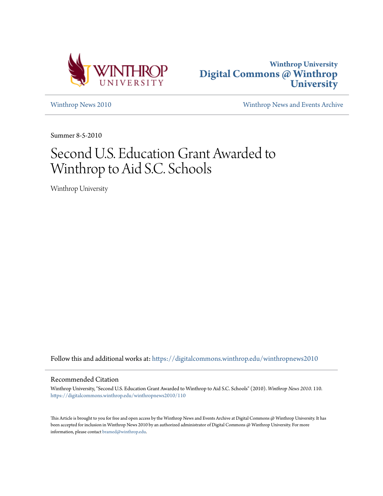



[Winthrop News 2010](https://digitalcommons.winthrop.edu/winthropnews2010?utm_source=digitalcommons.winthrop.edu%2Fwinthropnews2010%2F110&utm_medium=PDF&utm_campaign=PDFCoverPages) [Winthrop News and Events Archive](https://digitalcommons.winthrop.edu/winthropnewsarchives?utm_source=digitalcommons.winthrop.edu%2Fwinthropnews2010%2F110&utm_medium=PDF&utm_campaign=PDFCoverPages)

Summer 8-5-2010

## Second U.S. Education Grant Awarded to Winthrop to Aid S.C. Schools

Winthrop University

Follow this and additional works at: [https://digitalcommons.winthrop.edu/winthropnews2010](https://digitalcommons.winthrop.edu/winthropnews2010?utm_source=digitalcommons.winthrop.edu%2Fwinthropnews2010%2F110&utm_medium=PDF&utm_campaign=PDFCoverPages)

## Recommended Citation

Winthrop University, "Second U.S. Education Grant Awarded to Winthrop to Aid S.C. Schools" (2010). *Winthrop News 2010*. 110. [https://digitalcommons.winthrop.edu/winthropnews2010/110](https://digitalcommons.winthrop.edu/winthropnews2010/110?utm_source=digitalcommons.winthrop.edu%2Fwinthropnews2010%2F110&utm_medium=PDF&utm_campaign=PDFCoverPages)

This Article is brought to you for free and open access by the Winthrop News and Events Archive at Digital Commons @ Winthrop University. It has been accepted for inclusion in Winthrop News 2010 by an authorized administrator of Digital Commons @ Winthrop University. For more information, please contact [bramed@winthrop.edu](mailto:bramed@winthrop.edu).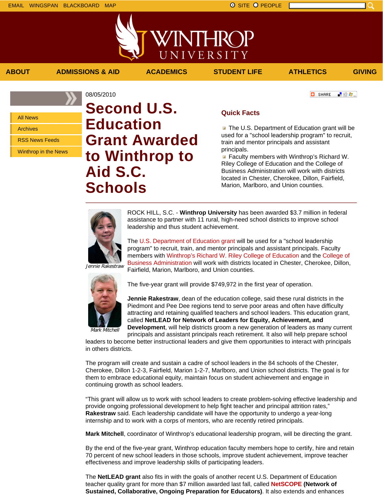上脸身。

**O** SHARE



**ABOUT ADMISSIONS & AID ACADEMICS STUDENT LIFE ATHLETICS GIVING**

All News

Archives

RSS News Feeds

Winthrop in the News

## 08/05/2010 **Second U.S. Education Grant Awarded to Winthrop to Aid S.C. Schools**

## **Quick Facts**

**The U.S. Department of Education grant will be** used for a "school leadership program" to recruit, train and mentor principals and assistant principals.

**Faculty members with Winthrop's Richard W.** Riley College of Education and the College of Business Administration will work with districts located in Chester, Cherokee, Dillon, Fairfield, Marion, Marlboro, and Union counties.



ROCK HILL, S.C. - **Winthrop University** has been awarded \$3.7 million in federal assistance to partner with 11 rural, high-need school districts to improve school leadership and thus student achievement.

The U.S. Department of Education grant will be used for a "school leadership program" to recruit, train, and mentor principals and assistant principals. Faculty members with Winthrop's Richard W. Riley College of Education and the College of Business Administration will work with districts located in Chester, Cherokee, Dillon, Fairfield, Marion, Marlboro, and Union counties.

Jennie Rakestraw



The five-year grant will provide \$749,972 in the first year of operation.

**Jennie Rakestraw**, dean of the education college, said these rural districts in the Piedmont and Pee Dee regions tend to serve poor areas and often have difficulty attracting and retaining qualified teachers and school leaders. This education grant, called **NetLEAD for Network of Leaders for Equity, Achievement, and Development**, will help districts groom a new generation of leaders as many current

Mark Mitchell

principals and assistant principals reach retirement. It also will help prepare school leaders to become better instructional leaders and give them opportunities to interact with principals in others districts.

The program will create and sustain a cadre of school leaders in the 84 schools of the Chester, Cherokee, Dillon 1-2-3, Fairfield, Marion 1-2-7, Marlboro, and Union school districts. The goal is for them to embrace educational equity, maintain focus on student achievement and engage in continuing growth as school leaders.

"This grant will allow us to work with school leaders to create problem-solving effective leadership and provide ongoing professional development to help fight teacher and principal attrition rates," **Rakestraw** said. Each leadership candidate will have the opportunity to undergo a year-long internship and to work with a corps of mentors, who are recently retired principals.

**Mark Mitchell**, coordinator of Winthrop's educational leadership program, will be directing the grant.

By the end of the five-year grant, Winthrop education faculty members hope to certify, hire and retain 70 percent of new school leaders in those schools, improve student achievement, improve teacher effectiveness and improve leadership skills of participating leaders.

The **NetLEAD grant** also fits in with the goals of another recent U.S. Department of Education teacher quality grant for more than \$7 million awarded last fall, called **NetSCOPE (Network of Sustained, Collaborative, Ongoing Preparation for Educators)**. It also extends and enhances